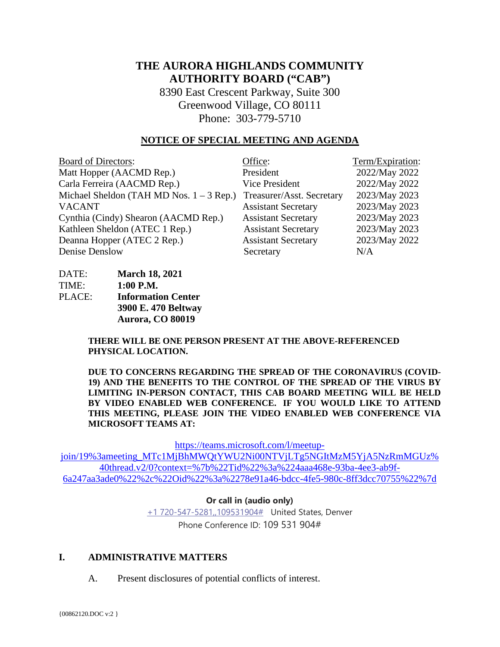# **THE AURORA HIGHLANDS COMMUNITY AUTHORITY BOARD ("CAB")**

8390 East Crescent Parkway, Suite 300 Greenwood Village, CO 80111 Phone: 303-779-5710

#### **NOTICE OF SPECIAL MEETING AND AGENDA**

| <b>Board of Directors:</b>                 | Office:                    | Term/Expiration: |
|--------------------------------------------|----------------------------|------------------|
| Matt Hopper (AACMD Rep.)                   | President                  | 2022/May 2022    |
| Carla Ferreira (AACMD Rep.)                | <b>Vice President</b>      | 2022/May 2022    |
| Michael Sheldon (TAH MD Nos. $1 - 3$ Rep.) | Treasurer/Asst. Secretary  | 2023/May 2023    |
| <b>VACANT</b>                              | <b>Assistant Secretary</b> | 2023/May 2023    |
| Cynthia (Cindy) Shearon (AACMD Rep.)       | <b>Assistant Secretary</b> | 2023/May 2023    |
| Kathleen Sheldon (ATEC 1 Rep.)             | <b>Assistant Secretary</b> | 2023/May 2023    |
| Deanna Hopper (ATEC 2 Rep.)                | <b>Assistant Secretary</b> | 2023/May 2022    |
| Denise Denslow                             | Secretary                  | N/A              |

| DATE:  | <b>March 18, 2021</b>     |
|--------|---------------------------|
| TIME:  | $1:00$ P.M.               |
| PLACE: | <b>Information Center</b> |
|        | 3900 E. 470 Beltway       |
|        | Aurora, CO 80019          |

**THERE WILL BE ONE PERSON PRESENT AT THE ABOVE-REFERENCED PHYSICAL LOCATION.**

**DUE TO CONCERNS REGARDING THE SPREAD OF THE CORONAVIRUS (COVID-19) AND THE BENEFITS TO THE CONTROL OF THE SPREAD OF THE VIRUS BY LIMITING IN-PERSON CONTACT, THIS CAB BOARD MEETING WILL BE HELD BY VIDEO ENABLED WEB CONFERENCE. IF YOU WOULD LIKE TO ATTEND THIS MEETING, PLEASE JOIN THE VIDEO ENABLED WEB CONFERENCE VIA MICROSOFT TEAMS AT:**

[https://teams.microsoft.com/l/meetup-](https://teams.microsoft.com/l/meetup-join/19%3ameeting_MTc1MjBhMWQtYWU2Ni00NTVjLTg5NGItMzM5YjA5NzRmMGUz%40thread.v2/0?context=%7b%22Tid%22%3a%224aaa468e-93ba-4ee3-ab9f-6a247aa3ade0%22%2c%22Oid%22%3a%2278e91a46-bdcc-4fe5-980c-8ff3dcc70755%22%7d)

[join/19%3ameeting\\_MTc1MjBhMWQtYWU2Ni00NTVjLTg5NGItMzM5YjA5NzRmMGUz%](https://teams.microsoft.com/l/meetup-join/19%3ameeting_MTc1MjBhMWQtYWU2Ni00NTVjLTg5NGItMzM5YjA5NzRmMGUz%40thread.v2/0?context=%7b%22Tid%22%3a%224aaa468e-93ba-4ee3-ab9f-6a247aa3ade0%22%2c%22Oid%22%3a%2278e91a46-bdcc-4fe5-980c-8ff3dcc70755%22%7d) [40thread.v2/0?context=%7b%22Tid%22%3a%224aaa468e-93ba-4ee3-ab9f-](https://teams.microsoft.com/l/meetup-join/19%3ameeting_MTc1MjBhMWQtYWU2Ni00NTVjLTg5NGItMzM5YjA5NzRmMGUz%40thread.v2/0?context=%7b%22Tid%22%3a%224aaa468e-93ba-4ee3-ab9f-6a247aa3ade0%22%2c%22Oid%22%3a%2278e91a46-bdcc-4fe5-980c-8ff3dcc70755%22%7d)[6a247aa3ade0%22%2c%22Oid%22%3a%2278e91a46-bdcc-4fe5-980c-8ff3dcc70755%22%7d](https://teams.microsoft.com/l/meetup-join/19%3ameeting_MTc1MjBhMWQtYWU2Ni00NTVjLTg5NGItMzM5YjA5NzRmMGUz%40thread.v2/0?context=%7b%22Tid%22%3a%224aaa468e-93ba-4ee3-ab9f-6a247aa3ade0%22%2c%22Oid%22%3a%2278e91a46-bdcc-4fe5-980c-8ff3dcc70755%22%7d)

**Or call in (audio only)**

[+1 720-547-5281,,109531904#](tel:+17205475281,,109531904#%20) United States, Denver Phone Conference ID: 109 531 904#

#### **I. ADMINISTRATIVE MATTERS**

A. Present disclosures of potential conflicts of interest.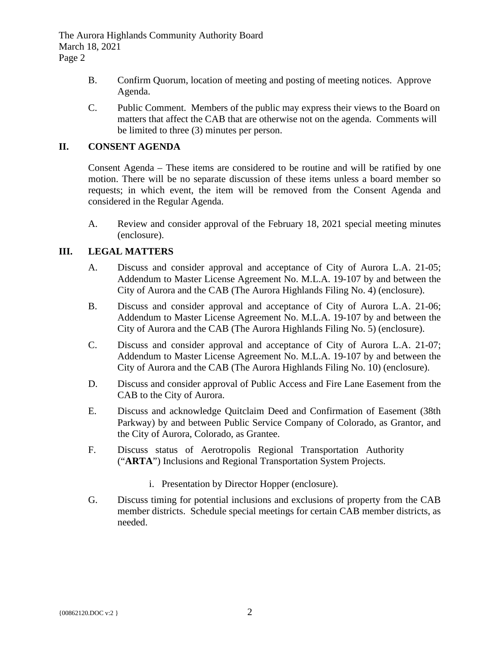The Aurora Highlands Community Authority Board March 18, 2021 Page 2

- B. Confirm Quorum, location of meeting and posting of meeting notices. Approve Agenda.
- C. Public Comment. Members of the public may express their views to the Board on matters that affect the CAB that are otherwise not on the agenda. Comments will be limited to three (3) minutes per person.

# **II. CONSENT AGENDA**

Consent Agenda – These items are considered to be routine and will be ratified by one motion. There will be no separate discussion of these items unless a board member so requests; in which event, the item will be removed from the Consent Agenda and considered in the Regular Agenda.

A. Review and consider approval of the February 18, 2021 special meeting minutes (enclosure).

# **III. LEGAL MATTERS**

- A. Discuss and consider approval and acceptance of City of Aurora L.A. 21-05; Addendum to Master License Agreement No. M.L.A. 19-107 by and between the City of Aurora and the CAB (The Aurora Highlands Filing No. 4) (enclosure).
- B. Discuss and consider approval and acceptance of City of Aurora L.A. 21-06; Addendum to Master License Agreement No. M.L.A. 19-107 by and between the City of Aurora and the CAB (The Aurora Highlands Filing No. 5) (enclosure).
- C. Discuss and consider approval and acceptance of City of Aurora L.A. 21-07; Addendum to Master License Agreement No. M.L.A. 19-107 by and between the City of Aurora and the CAB (The Aurora Highlands Filing No. 10) (enclosure).
- D. Discuss and consider approval of Public Access and Fire Lane Easement from the CAB to the City of Aurora.
- E. Discuss and acknowledge Quitclaim Deed and Confirmation of Easement (38th Parkway) by and between Public Service Company of Colorado, as Grantor, and the City of Aurora, Colorado, as Grantee.
- F. Discuss status of Aerotropolis Regional Transportation Authority ("**ARTA**") Inclusions and Regional Transportation System Projects.
	- i. Presentation by Director Hopper (enclosure).
- G. Discuss timing for potential inclusions and exclusions of property from the CAB member districts. Schedule special meetings for certain CAB member districts, as needed.